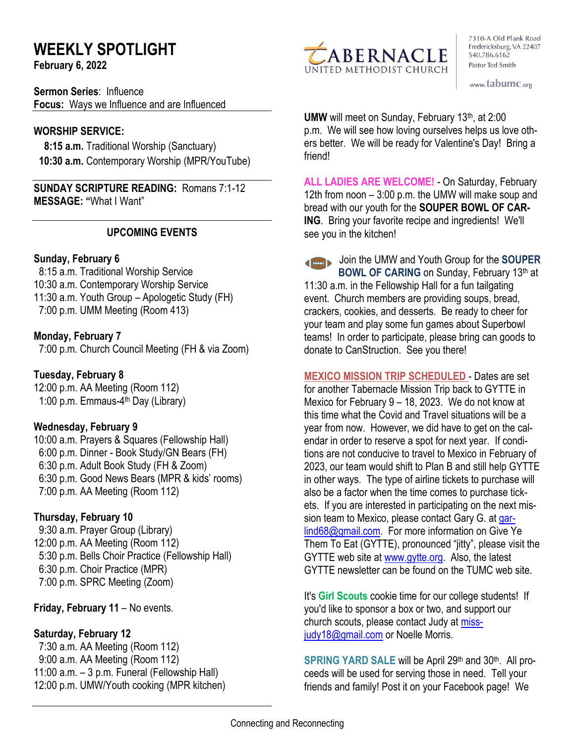# **WEEKLY SPOTLIGHT**

**February 6, 2022** 

**Sermon Series**: Influence **Focus:** Ways we Influence and are Influenced

#### **WORSHIP SERVICE:**

 **8:15 a.m.** Traditional Worship (Sanctuary)  **10:30 a.m.** Contemporary Worship (MPR/YouTube)

**SUNDAY SCRIPTURE READING:** Romans 7:1-12 **MESSAGE: "**What I Want"

## **UPCOMING EVENTS**

## **Sunday, February 6**

 8:15 a.m. Traditional Worship Service 10:30 a.m. Contemporary Worship Service 11:30 a.m. Youth Group – Apologetic Study (FH) 7:00 p.m. UMM Meeting (Room 413)

## **Monday, February 7**

7:00 p.m. Church Council Meeting (FH & via Zoom)

# **Tuesday, February 8**

12:00 p.m. AA Meeting (Room 112) 1:00 p.m. Emmaus-4<sup>th</sup> Day (Library)

#### **Wednesday, February 9**

10:00 a.m. Prayers & Squares (Fellowship Hall) 6:00 p.m. Dinner - Book Study/GN Bears (FH) 6:30 p.m. Adult Book Study (FH & Zoom) 6:30 p.m. Good News Bears (MPR & kids' rooms) 7:00 p.m. AA Meeting (Room 112)

# **Thursday, February 10**

9:30 a.m. Prayer Group (Library) 12:00 p.m. AA Meeting (Room 112) 5:30 p.m. Bells Choir Practice (Fellowship Hall) 6:30 p.m. Choir Practice (MPR) 7:00 p.m. SPRC Meeting (Zoom)

**Friday, February 11** – No events.

# **Saturday, February 12**

 7:30 a.m. AA Meeting (Room 112) 9:00 a.m. AA Meeting (Room 112) 11:00 a.m. – 3 p.m. Funeral (Fellowship Hall) 12:00 p.m. UMW/Youth cooking (MPR kitchen)



7310-A Old Plank Road Fredericksburg, VA 22407 540.786.6162 Pastor Ted Smith

www.tabumc.org

**UMW** will meet on Sunday, February 13<sup>th</sup>, at 2:00 p.m. We will see how loving ourselves helps us love others better. We will be ready for Valentine's Day! Bring a friend!

**ALL LADIES ARE WELCOME!** - On Saturday, February 12th from noon – 3:00 p.m. the UMW will make soup and bread with our youth for the **SOUPER BOWL OF CAR-ING**. Bring your favorite recipe and ingredients! We'll see you in the kitchen!

Join the UMW and Youth Group for the **SOUPER BOWL OF CARING** on Sunday, February 13<sup>th</sup> at 11:30 a.m. in the Fellowship Hall for a fun tailgating event. Church members are providing soups, bread, crackers, cookies, and desserts. Be ready to cheer for your team and play some fun games about Superbowl teams! In order to participate, please bring can goods to donate to CanStruction. See you there!

**MEXICO MISSION TRIP SCHEDULED** - Dates are set for another Tabernacle Mission Trip back to GYTTE in Mexico for February 9 – 18, 2023. We do not know at this time what the Covid and Travel situations will be a year from now. However, we did have to get on the calendar in order to reserve a spot for next year. If conditions are not conducive to travel to Mexico in February of 2023, our team would shift to Plan B and still help GYTTE in other ways. The type of airline tickets to purchase will also be a factor when the time comes to purchase tickets. If you are interested in participating on the next mission team to Mexico, please contact Gary G. at [gar](mailto:garlind68@gmail.com)[lind68@gmail.com.](mailto:garlind68@gmail.com) For more information on Give Ye Them To Eat (GYTTE), pronounced "jitty", please visit the GYTTE web site at [www.gytte.org.](http://www.gytte.org/) Also, the latest GYTTE newsletter can be found on the TUMC web site.

It's **Girl Scouts** cookie time for our college students! If you'd like to sponsor a box or two, and support our church scouts, please contact Judy at [miss](mailto:missjudy18@gmail.com)[judy18@gmail.com](mailto:missjudy18@gmail.com) or Noelle Morris.

SPRING YARD SALE will be April 29<sup>th</sup> and 30<sup>th</sup>. All proceeds will be used for serving those in need. Tell your friends and family! Post it on your Facebook page! We